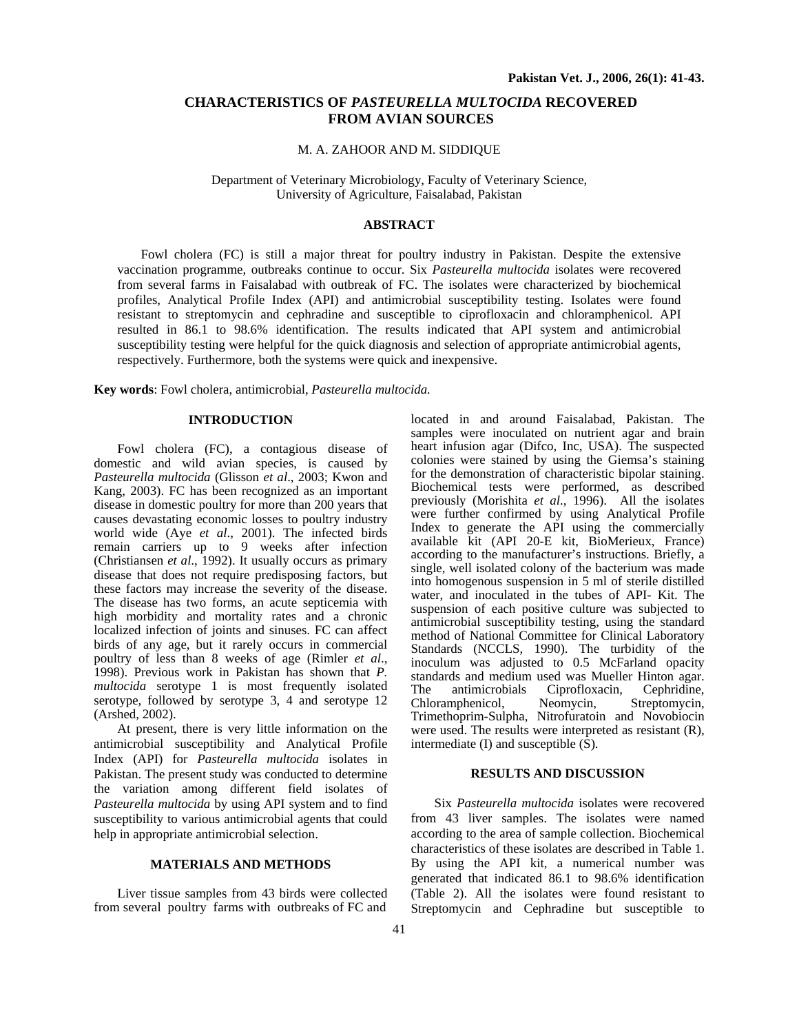# **CHARACTERISTICS OF** *PASTEURELLA MULTOCIDA* **RECOVERED FROM AVIAN SOURCES**

## M. A. ZAHOOR AND M. SIDDIQUE

Department of Veterinary Microbiology, Faculty of Veterinary Science, University of Agriculture, Faisalabad, Pakistan

## **ABSTRACT**

Fowl cholera (FC) is still a major threat for poultry industry in Pakistan. Despite the extensive vaccination programme, outbreaks continue to occur. Six *Pasteurella multocida* isolates were recovered from several farms in Faisalabad with outbreak of FC. The isolates were characterized by biochemical profiles, Analytical Profile Index (API) and antimicrobial susceptibility testing. Isolates were found resistant to streptomycin and cephradine and susceptible to ciprofloxacin and chloramphenicol. API resulted in 86.1 to 98.6% identification. The results indicated that API system and antimicrobial susceptibility testing were helpful for the quick diagnosis and selection of appropriate antimicrobial agents, respectively. Furthermore, both the systems were quick and inexpensive.

**Key words**: Fowl cholera, antimicrobial, *Pasteurella multocida.*

### **INTRODUCTION**

Fowl cholera (FC), a contagious disease of domestic and wild avian species, is caused by *Pasteurella multocida* (Glisson *et al*., 2003; Kwon and Kang, 2003). FC has been recognized as an important disease in domestic poultry for more than 200 years that causes devastating economic losses to poultry industry world wide (Aye *et al*., 2001). The infected birds remain carriers up to 9 weeks after infection (Christiansen *et al*., 1992). It usually occurs as primary disease that does not require predisposing factors, but these factors may increase the severity of the disease. The disease has two forms, an acute septicemia with high morbidity and mortality rates and a chronic localized infection of joints and sinuses. FC can affect birds of any age, but it rarely occurs in commercial poultry of less than 8 weeks of age (Rimler *et al*., 1998). Previous work in Pakistan has shown that *P. multocida* serotype 1 is most frequently isolated serotype, followed by serotype 3, 4 and serotype 12 (Arshed, 2002).

At present, there is very little information on the antimicrobial susceptibility and Analytical Profile Index (API) for *Pasteurella multocida* isolates in Pakistan. The present study was conducted to determine the variation among different field isolates of *Pasteurella multocida* by using API system and to find susceptibility to various antimicrobial agents that could help in appropriate antimicrobial selection.

#### **MATERIALS AND METHODS**

Liver tissue samples from 43 birds were collected from several poultry farms with outbreaks of FC and located in and around Faisalabad, Pakistan. The samples were inoculated on nutrient agar and brain heart infusion agar (Difco, Inc, USA). The suspected colonies were stained by using the Giemsa's staining for the demonstration of characteristic bipolar staining. Biochemical tests were performed, as described previously (Morishita *et al*., 1996). All the isolates were further confirmed by using Analytical Profile Index to generate the API using the commercially available kit (API 20-E kit, BioMerieux, France) according to the manufacturer's instructions. Briefly, a single, well isolated colony of the bacterium was made into homogenous suspension in 5 ml of sterile distilled water, and inoculated in the tubes of API- Kit. The suspension of each positive culture was subjected to antimicrobial susceptibility testing, using the standard method of National Committee for Clinical Laboratory Standards (NCCLS, 1990). The turbidity of the inoculum was adjusted to 0.5 McFarland opacity standards and medium used was Mueller Hinton agar. The antimicrobials Ciprofloxacin, Cephridine,<br>Chloramphenicol, Neomycin, Streptomycin, Chloramphenicol, Trimethoprim-Sulpha, Nitrofuratoin and Novobiocin were used. The results were interpreted as resistant (R), intermediate (I) and susceptible (S).

#### **RESULTS AND DISCUSSION**

Six *Pasteurella multocida* isolates were recovered from 43 liver samples. The isolates were named according to the area of sample collection. Biochemical characteristics of these isolates are described in Table 1. By using the API kit, a numerical number was generated that indicated 86.1 to 98.6% identification (Table 2). All the isolates were found resistant to Streptomycin and Cephradine but susceptible to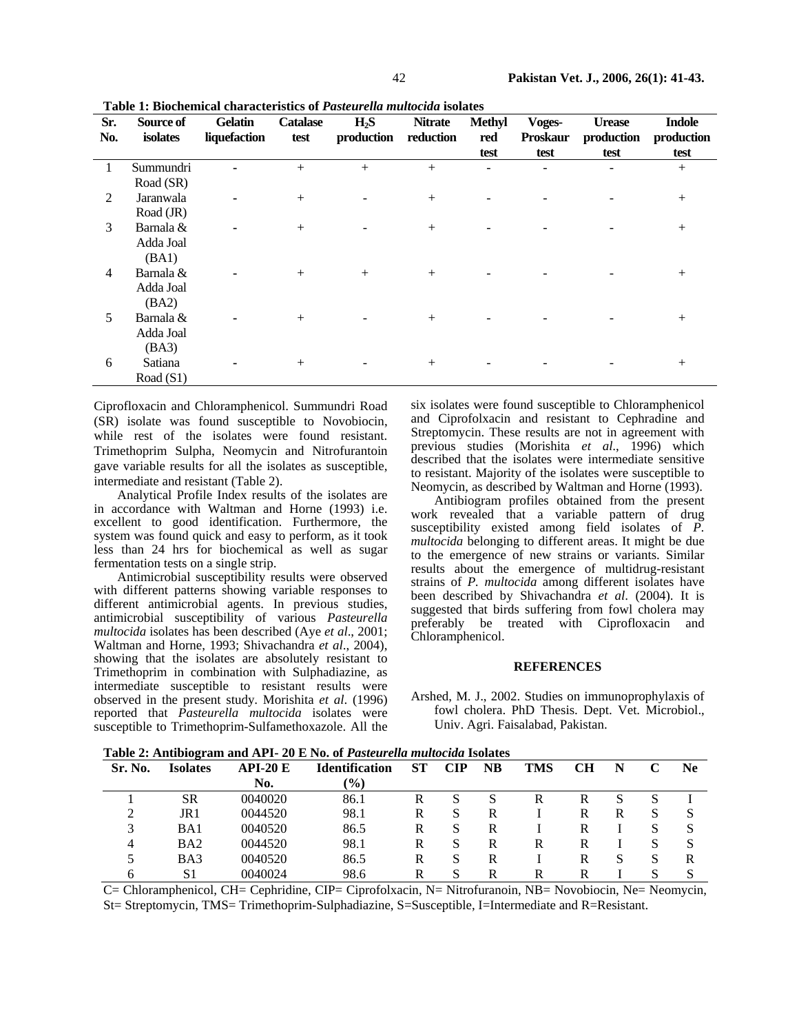| Sr.            | Source of   | Gelatin      | <b>Catalase</b> | H <sub>2</sub> S | <b>Nitrate</b> | <b>Methyl</b>  | Voges-          | <b>Urease</b> | <b>Indole</b> |  |
|----------------|-------------|--------------|-----------------|------------------|----------------|----------------|-----------------|---------------|---------------|--|
| No.            | isolates    | liquefaction | test            | production       | reduction      | red            | <b>Proskaur</b> | production    | production    |  |
|                |             |              |                 |                  |                | test           | test            | test          | test          |  |
|                | Summundri   |              | $+$             | $^{+}$           | $^{+}$         | $\overline{a}$ |                 |               | $+$           |  |
|                | Road (SR)   |              |                 |                  |                |                |                 |               |               |  |
| 2              | Jaranwala   |              | $+$             |                  | $+$            |                |                 |               | $+$           |  |
|                | Road (JR)   |              |                 |                  |                |                |                 |               |               |  |
| 3              | Barnala &   |              | $+$             |                  | $+$            |                |                 |               | $+$           |  |
|                | Adda Joal   |              |                 |                  |                |                |                 |               |               |  |
|                | (BA1)       |              |                 |                  |                |                |                 |               |               |  |
| $\overline{4}$ | Barnala &   |              | $+$             | $+$              | $+$            |                |                 |               | $+$           |  |
|                | Adda Joal   |              |                 |                  |                |                |                 |               |               |  |
|                | (BA2)       |              |                 |                  |                |                |                 |               |               |  |
| 5              | Barnala &   | ۰            | $+$             |                  | $^{+}$         |                |                 |               | $+$           |  |
|                | Adda Joal   |              |                 |                  |                |                |                 |               |               |  |
|                | (BA3)       |              |                 |                  |                |                |                 |               |               |  |
| 6              | Satiana     |              | $+$             |                  | $^{+}$         |                |                 |               | $^{+}$        |  |
|                | Road $(S1)$ |              |                 |                  |                |                |                 |               |               |  |

**Table 1: Biochemical characteristics of** *Pasteurella multocida* **isolates**

Ciprofloxacin and Chloramphenicol. Summundri Road (SR) isolate was found susceptible to Novobiocin, while rest of the isolates were found resistant. Trimethoprim Sulpha, Neomycin and Nitrofurantoin gave variable results for all the isolates as susceptible, intermediate and resistant (Table 2).

Analytical Profile Index results of the isolates are in accordance with Waltman and Horne (1993) i.e. excellent to good identification. Furthermore, the system was found quick and easy to perform, as it took less than 24 hrs for biochemical as well as sugar fermentation tests on a single strip.

Antimicrobial susceptibility results were observed with different patterns showing variable responses to different antimicrobial agents. In previous studies, antimicrobial susceptibility of various *Pasteurella multocida* isolates has been described (Aye *et al*., 2001; Waltman and Horne, 1993; Shivachandra *et al*., 2004), showing that the isolates are absolutely resistant to Trimethoprim in combination with Sulphadiazine, as intermediate susceptible to resistant results were observed in the present study. Morishita *et al*. (1996) reported that *Pasteurella multocida* isolates were susceptible to Trimethoprim-Sulfamethoxazole. All the

six isolates were found susceptible to Chloramphenicol and Ciprofolxacin and resistant to Cephradine and Streptomycin. These results are not in agreement with previous studies (Morishita *et al*., 1996) which described that the isolates were intermediate sensitive to resistant. Majority of the isolates were susceptible to Neomycin, as described by Waltman and Horne (1993).

Antibiogram profiles obtained from the present work revealed that a variable pattern of drug susceptibility existed among field isolates of *P. multocida* belonging to different areas. It might be due to the emergence of new strains or variants. Similar results about the emergence of multidrug-resistant strains of *P. multocida* among different isolates have been described by Shivachandra *et al*. (2004). It is suggested that birds suffering from fowl cholera may preferably be treated with Ciprofloxacin and Chloramphenicol.

## **REFERENCES**

Arshed, M. J., 2002. Studies on immunoprophylaxis of fowl cholera. PhD Thesis. Dept. Vet. Microbiol., Univ. Agri. Faisalabad, Pakistan.

**Table 2: Antibiogram and API- 20 E No. of** *Pasteurella multocida* **Isolates** 

| Tubic 2: Anthologram and Art 2 30 E FOC 01 Fasten cha manochia 1901accs |           |                       |           |            |    |     |           |   |   |           |  |
|-------------------------------------------------------------------------|-----------|-----------------------|-----------|------------|----|-----|-----------|---|---|-----------|--|
| <b>Isolates</b>                                                         | $API-20E$ | <b>Identification</b> | <b>ST</b> | <b>CIP</b> | NB | TMS | <b>CH</b> | N |   | <b>Ne</b> |  |
|                                                                         | No.       | $\mathcal{O}(0)$      |           |            |    |     |           |   |   |           |  |
| SR                                                                      | 0040020   | 86.1                  | R         | S          | S  | R   | R         |   | S |           |  |
| JR1                                                                     | 0044520   | 98.1                  | R         |            | R  |     | R         | R |   |           |  |
| BA1                                                                     | 0040520   | 86.5                  | R         | S          | R  |     | R         |   |   | S         |  |
| B <sub>A</sub> 2                                                        | 0044520   | 98.1                  | R         | S          | R  | R   | R         |   |   | S         |  |
| BA3                                                                     | 0040520   | 86.5                  | R         | S          | R  |     | R         | S | S | R         |  |
| S1                                                                      | 0040024   | 98.6                  | R         | S          | R  | R   | R         |   | S | S         |  |
|                                                                         |           |                       |           |            |    |     |           |   |   |           |  |

C= Chloramphenicol, CH= Cephridine, CIP= Ciprofolxacin, N= Nitrofuranoin, NB= Novobiocin, Ne= Neomycin, St= Streptomycin, TMS= Trimethoprim-Sulphadiazine, S=Susceptible, I=Intermediate and R=Resistant.